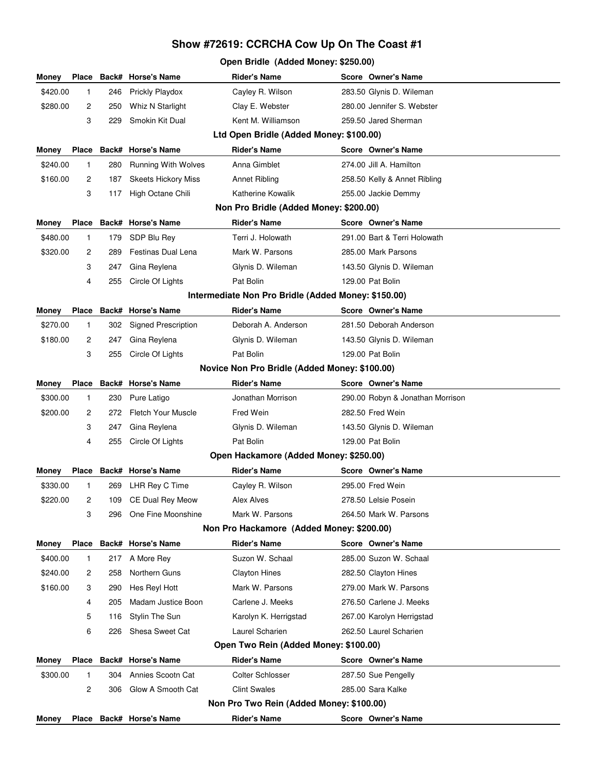## **Show #72619: CCRCHA Cow Up On The Coast #1**

## **Open Bridle (Added Money: \$250.00)**

| Money                                                                                                          | Place                                         |       | <b>Back# Horse's Name</b>           | <b>Rider's Name</b>                                              |  | Score Owner's Name                             |  |  |  |  |
|----------------------------------------------------------------------------------------------------------------|-----------------------------------------------|-------|-------------------------------------|------------------------------------------------------------------|--|------------------------------------------------|--|--|--|--|
| \$420.00                                                                                                       | 1                                             | 246   | Prickly Playdox                     | Cayley R. Wilson                                                 |  | 283.50 Glynis D. Wileman                       |  |  |  |  |
| \$280.00                                                                                                       | 2                                             | 250   | Whiz N Starlight                    | Clay E. Webster                                                  |  | 280.00 Jennifer S. Webster                     |  |  |  |  |
|                                                                                                                | 3                                             | 229   | Smokin Kit Dual                     | Kent M. Williamson                                               |  | 259.50 Jared Sherman                           |  |  |  |  |
| Ltd Open Bridle (Added Money: \$100.00)                                                                        |                                               |       |                                     |                                                                  |  |                                                |  |  |  |  |
| Money                                                                                                          | Place                                         | Back# | <b>Horse's Name</b>                 | <b>Rider's Name</b>                                              |  | Score Owner's Name                             |  |  |  |  |
| \$240.00                                                                                                       | 1                                             | 280   | <b>Running With Wolves</b>          | Anna Gimblet                                                     |  | 274.00 Jill A. Hamilton                        |  |  |  |  |
| \$160.00                                                                                                       | 2                                             | 187   | <b>Skeets Hickory Miss</b>          | Annet Ribling                                                    |  | 258.50 Kelly & Annet Ribling                   |  |  |  |  |
|                                                                                                                | 3                                             | 117   | High Octane Chili                   | Katherine Kowalik                                                |  | 255.00 Jackie Demmy                            |  |  |  |  |
| Non Pro Bridle (Added Money: \$200.00)                                                                         |                                               |       |                                     |                                                                  |  |                                                |  |  |  |  |
| Money                                                                                                          | <b>Place</b>                                  |       | <b>Back# Horse's Name</b>           | <b>Rider's Name</b>                                              |  | Score Owner's Name                             |  |  |  |  |
| \$480.00                                                                                                       | 1                                             | 179   | SDP Blu Rey                         | Terri J. Holowath                                                |  | 291.00 Bart & Terri Holowath                   |  |  |  |  |
| \$320.00                                                                                                       | 2                                             | 289   | Festinas Dual Lena                  | Mark W. Parsons                                                  |  | 285.00 Mark Parsons                            |  |  |  |  |
|                                                                                                                | 3                                             | 247   | Gina Reylena                        | Glynis D. Wileman                                                |  | 143.50 Glynis D. Wileman                       |  |  |  |  |
|                                                                                                                | 4                                             | 255   | Circle Of Lights                    | Pat Bolin                                                        |  | 129.00 Pat Bolin                               |  |  |  |  |
| Intermediate Non Pro Bridle (Added Money: \$150.00)                                                            |                                               |       |                                     |                                                                  |  |                                                |  |  |  |  |
| Money                                                                                                          | <b>Place</b>                                  |       | Back# Horse's Name                  | <b>Rider's Name</b>                                              |  | Score Owner's Name                             |  |  |  |  |
| \$270.00                                                                                                       | 1.                                            | 302   | <b>Signed Prescription</b>          | Deborah A. Anderson                                              |  | 281.50 Deborah Anderson                        |  |  |  |  |
| \$180.00                                                                                                       | 2                                             | 247   | Gina Reylena                        | Glynis D. Wileman                                                |  | 143.50 Glynis D. Wileman                       |  |  |  |  |
|                                                                                                                | 3                                             | 255   | Circle Of Lights                    | Pat Bolin                                                        |  | 129.00 Pat Bolin                               |  |  |  |  |
|                                                                                                                | Novice Non Pro Bridle (Added Money: \$100.00) |       |                                     |                                                                  |  |                                                |  |  |  |  |
| Money                                                                                                          | Place                                         | Back# | <b>Horse's Name</b>                 | <b>Rider's Name</b>                                              |  | Score Owner's Name                             |  |  |  |  |
| \$300.00                                                                                                       | 1                                             | 230   | Pure Latigo                         | Jonathan Morrison                                                |  | 290.00 Robyn & Jonathan Morrison               |  |  |  |  |
| \$200.00                                                                                                       | 2                                             | 272   | <b>Fletch Your Muscle</b>           | <b>Fred Wein</b>                                                 |  | 282.50 Fred Wein                               |  |  |  |  |
|                                                                                                                | 3                                             | 247   | Gina Reylena                        | Glynis D. Wileman                                                |  | 143.50 Glynis D. Wileman                       |  |  |  |  |
|                                                                                                                | 4                                             | 255   | Circle Of Lights                    | Pat Bolin                                                        |  | 129.00 Pat Bolin                               |  |  |  |  |
|                                                                                                                |                                               |       |                                     | Open Hackamore (Added Money: \$250.00)                           |  |                                                |  |  |  |  |
| Money                                                                                                          | <b>Place</b>                                  |       | Back# Horse's Name                  | <b>Rider's Name</b>                                              |  | Score Owner's Name                             |  |  |  |  |
| \$330.00                                                                                                       | 1                                             | 269   | LHR Rey C Time                      | Cayley R. Wilson                                                 |  | 295.00 Fred Wein                               |  |  |  |  |
| \$220.00                                                                                                       | 2                                             | 109   | CE Dual Rey Meow                    | Alex Alves                                                       |  | 278.50 Lelsie Posein                           |  |  |  |  |
|                                                                                                                | 3                                             | 296   | One Fine Moonshine                  | Mark W. Parsons                                                  |  | 264.50 Mark W. Parsons                         |  |  |  |  |
|                                                                                                                |                                               |       |                                     | Non Pro Hackamore (Added Money: \$200.00)<br><b>Rider's Name</b> |  |                                                |  |  |  |  |
| Money                                                                                                          | <b>Place</b>                                  |       | Back# Horse's Name                  |                                                                  |  | Score Owner's Name                             |  |  |  |  |
| \$400.00                                                                                                       | 1                                             | 217   | A More Rey                          | Suzon W. Schaal                                                  |  | 285.00 Suzon W. Schaal                         |  |  |  |  |
| \$240.00<br>\$160.00                                                                                           | 2                                             | 258   | Northern Guns                       | <b>Clayton Hines</b><br>Mark W. Parsons                          |  | 282.50 Clayton Hines<br>279.00 Mark W. Parsons |  |  |  |  |
|                                                                                                                | 3                                             | 290   | Hes Reyl Hott<br>Madam Justice Boon | Carlene J. Meeks                                                 |  | 276.50 Carlene J. Meeks                        |  |  |  |  |
|                                                                                                                | 4                                             | 205   |                                     |                                                                  |  |                                                |  |  |  |  |
|                                                                                                                | 5                                             | 116   | Stylin The Sun                      | Karolyn K. Herrigstad                                            |  | 267.00 Karolyn Herrigstad                      |  |  |  |  |
|                                                                                                                | 6                                             | 226   | Shesa Sweet Cat                     | Laurel Scharien                                                  |  | 262.50 Laurel Scharien                         |  |  |  |  |
| Open Two Rein (Added Money: \$100.00)<br><b>Rider's Name</b><br>Place Back# Horse's Name<br>Score Owner's Name |                                               |       |                                     |                                                                  |  |                                                |  |  |  |  |
| Money<br>\$300.00                                                                                              | 1                                             | 304   | Annies Scootn Cat                   | <b>Colter Schlosser</b>                                          |  | 287.50 Sue Pengelly                            |  |  |  |  |
|                                                                                                                | 2                                             | 306   | Glow A Smooth Cat                   | <b>Clint Swales</b>                                              |  | 285.00 Sara Kalke                              |  |  |  |  |
|                                                                                                                |                                               |       |                                     | Non Pro Two Rein (Added Money: \$100.00)                         |  |                                                |  |  |  |  |
| Money                                                                                                          |                                               |       | Place Back# Horse's Name            | <b>Rider's Name</b>                                              |  | Score Owner's Name                             |  |  |  |  |
|                                                                                                                |                                               |       |                                     |                                                                  |  |                                                |  |  |  |  |